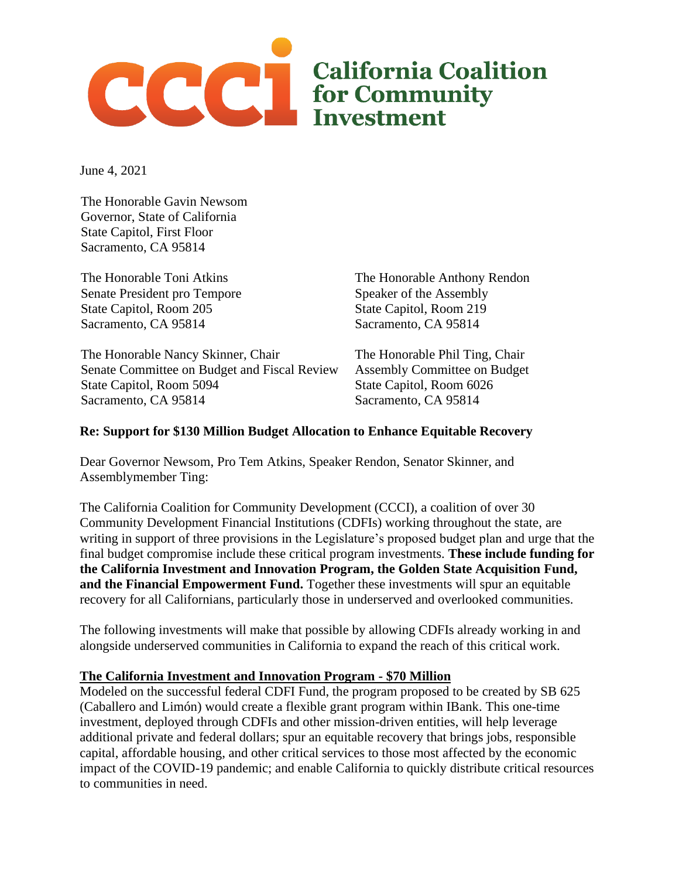

June 4, 2021

The Honorable Gavin Newsom Governor, State of California State Capitol, First Floor Sacramento, CA 95814

The Honorable Toni Atkins Senate President pro Tempore State Capitol, Room 205 Sacramento, CA 95814

The Honorable Nancy Skinner, Chair Senate Committee on Budget and Fiscal Review State Capitol, Room 5094 Sacramento, CA 95814

The Honorable Anthony Rendon Speaker of the Assembly State Capitol, Room 219 Sacramento, CA 95814

The Honorable Phil Ting, Chair Assembly Committee on Budget State Capitol, Room 6026 Sacramento, CA 95814

## **Re: Support for \$130 Million Budget Allocation to Enhance Equitable Recovery**

Dear Governor Newsom, Pro Tem Atkins, Speaker Rendon, Senator Skinner, and Assemblymember Ting:

The California Coalition for Community Development (CCCI), a coalition of over 30 Community Development Financial Institutions (CDFIs) working throughout the state, are writing in support of three provisions in the Legislature's proposed budget plan and urge that the final budget compromise include these critical program investments. **These include funding for the California Investment and Innovation Program, the Golden State Acquisition Fund, and the Financial Empowerment Fund.** Together these investments will spur an equitable recovery for all Californians, particularly those in underserved and overlooked communities.

The following investments will make that possible by allowing CDFIs already working in and alongside underserved communities in California to expand the reach of this critical work.

## **The California Investment and Innovation Program - \$70 Million**

Modeled on the successful federal CDFI Fund, the program proposed to be created by SB 625 (Caballero and Limón) would create a flexible grant program within IBank. This one-time investment, deployed through CDFIs and other mission-driven entities, will help leverage additional private and federal dollars; spur an equitable recovery that brings jobs, responsible capital, affordable housing, and other critical services to those most affected by the economic impact of the COVID-19 pandemic; and enable California to quickly distribute critical resources to communities in need.